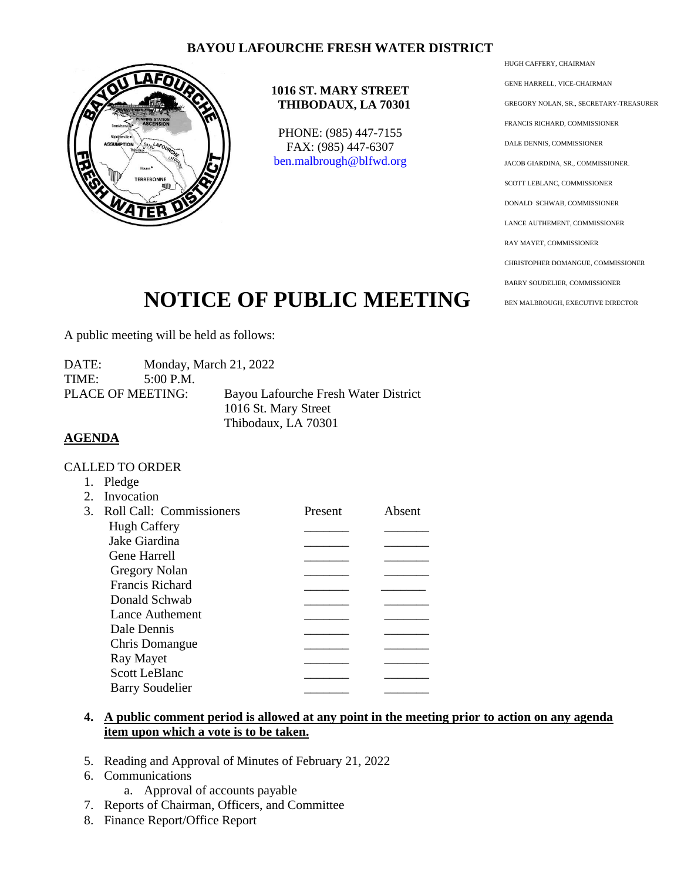## **BAYOU LAFOURCHE FRESH WATER DISTRICT**



#### **1016 ST. MARY STREET THIBODAUX, LA 70301**

PHONE: (985) 447-7155 FAX: (985) 447-6307 [ben.malbrough@blfwd.org](mailto:ben.malbrough@blfwd.org)

HUGH CAFFERY, CHAIRMAN GENE HARRELL, VICE-CHAIRMAN GREGORY NOLAN, SR., SECRETARY-TREASURER FRANCIS RICHARD, COMMISSIONER DALE DENNIS, COMMISSIONER JACOB GIARDINA, SR., COMMISSIONER. SCOTT LEBLANC, COMMISSIONER DONALD SCHWAB, COMMISSIONER LANCE AUTHEMENT, COMMISSIONER RAY MAYET, COMMISSIONER CHRISTOPHER DOMANGUE, COMMISSIONER BARRY SOUDELIER, COMMISSIONER BEN MALBROUGH, EXECUTIVE DIRECTOR

# **NOTICE OF PUBLIC MEETING**

A public meeting will be held as follows:

DATE: Monday, March 21, 2022 TIME: 5:00 P.M. PLACE OF MEETING: Bayou Lafourche Fresh Water District 1016 St. Mary Street Thibodaux, LA 70301

### **AGENDA**

#### CALLED TO ORDER

|             | Pledge                      |         |        |
|-------------|-----------------------------|---------|--------|
| $2^{\circ}$ | Invocation                  |         |        |
|             | 3. Roll Call: Commissioners | Present | Absent |
|             | <b>Hugh Caffery</b>         |         |        |
|             | Jake Giardina               |         |        |
|             | Gene Harrell                |         |        |
|             | <b>Gregory Nolan</b>        |         |        |
|             | <b>Francis Richard</b>      |         |        |
|             | Donald Schwab               |         |        |
|             | Lance Authement             |         |        |
|             | Dale Dennis                 |         |        |
|             | Chris Domangue              |         |        |
|             | Ray Mayet                   |         |        |
|             | <b>Scott LeBlanc</b>        |         |        |
|             | <b>Barry Soudelier</b>      |         |        |
|             |                             |         |        |

#### **4. A public comment period is allowed at any point in the meeting prior to action on any agenda item upon which a vote is to be taken.**

- 5. Reading and Approval of Minutes of February 21, 2022
- 6. Communications
	- a. Approval of accounts payable
- 7. Reports of Chairman, Officers, and Committee
- 8. Finance Report/Office Report